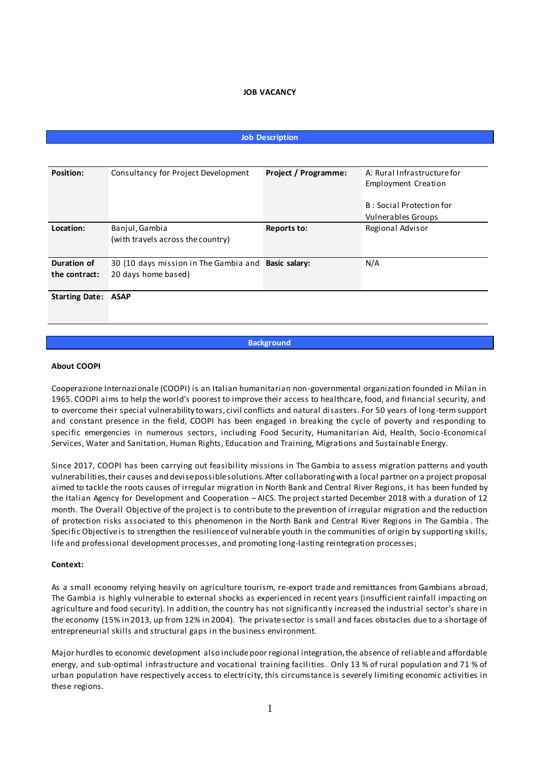### **JOB VACANCY**

## **Job Description**

| <b>Position:</b>           | Consultancy for Project Development                 | Project / Programme: | A: Rural Infrastructure for |
|----------------------------|-----------------------------------------------------|----------------------|-----------------------------|
|                            |                                                     |                      | Employment Creation         |
|                            |                                                     |                      |                             |
|                            |                                                     |                      | B: Social Protection for    |
|                            |                                                     |                      | Vulnerables Groups          |
| Location:                  | Banjul, Gambia                                      | Reports to:          | Regional Advisor            |
|                            | (with travels across the country)                   |                      |                             |
| Duration of                | 30 (10 days mission in The Gambia and Basic salary: |                      | N/A                         |
|                            |                                                     |                      |                             |
| the contract:              | 20 days home based)                                 |                      |                             |
|                            |                                                     |                      |                             |
| <b>Starting Date: ASAP</b> |                                                     |                      |                             |

**Background**

#### **About COOPI**

Cooperazione Internazionale (COOPI) is an Italian humanitarian non-governmental organization founded in Milan in 1965. COOPI aims to help the world's poorest to improve their access to healthcare, food, and financial security, and to overcome their special vulnerability to wars, civil conflicts and natural disasters. For 50 years of long-term support and constant presence in the field, COOPI has been engaged in breaking the cycle of poverty and responding to specific emergencies in numerous sectors, including Food Security, Humanitarian Aid, Health, Socio-Economical Services, Water and Sanitation, Human Rights, Education and Training, Migrations and Sustainable Energy.

Since 2017, COOPI has been carrying out feasibility missions in The Gambia to assess migration patterns and youth vulnerabilities, their causes and devise possible solutions. After collaborating with a local partner on a project proposal aimed to tackle the roots causes of irregular migration in North Bank and Central River Regions, it has been funded by the Italian Agency for Development and Cooperation – AICS. The project started December 2018 with a duration of 12 month. The Overall Objective of the project is to contribute to the prevention of irregular migration and the reduction of protection risks associated to this phenomenon in the North Bank and Central River Regions in The Gambia . The Specific Objective is to strengthen the resilience of vulnerable youth in the communities of origin by supporting skills, life and professional development processes, and promoting long-lasting reintegration processes;

### **Context:**

As a small economy relying heavily on agriculture tourism, re-export trade and remittances from Gambians abroad, The Gambia is highly vulnerable to external shocks as experienced in recent years (insufficient rainfall impacting on agriculture and food security). In addition, the country has not significantly increased the industrial sector's share in the economy (15% in 2013, up from 12% in 2004). The private sector is small and faces obstacles due to a shortage of entrepreneurial skills and structural gaps in the business environment.

Major hurdles to economic development also include poor regional integration, the absence of reliable and affordable energy, and sub-optimal infrastructure and vocational training facilities. Only 13 % of rural population and 71 % of urban population have respectively access to electricity, this circumstance is severely limiting economic activities in these regions.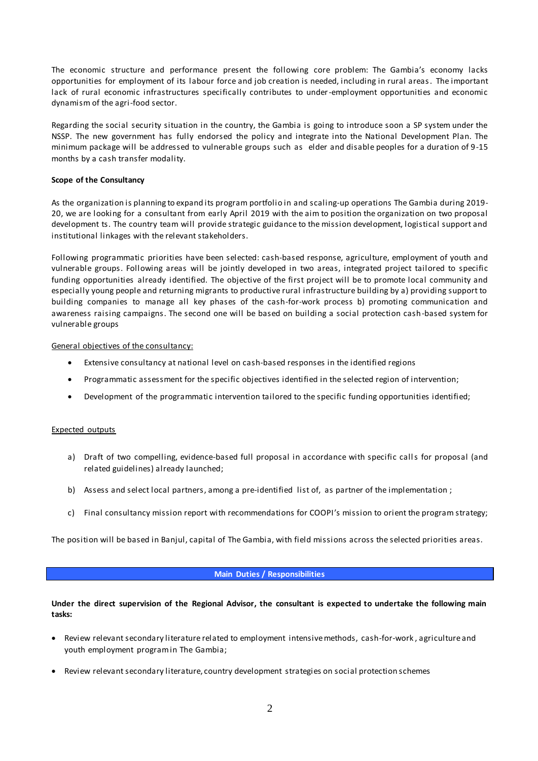The economic structure and performance present the following core problem: The Gambia's economy lacks opportunities for employment of its labour force and job creation is needed, including in rural areas. The important lack of rural economic infrastructures specifically contributes to under-employment opportunities and economic dynamism of the agri-food sector.

Regarding the social security situation in the country, the Gambia is going to introduce soon a SP system under the NSSP. The new government has fully endorsed the policy and integrate into the National Development Plan. The minimum package will be addressed to vulnerable groups such as elder and disable peoples for a duration of 9-15 months by a cash transfer modality.

# **Scope of the Consultancy**

As the organization is planning to expand its program portfolio in and scaling-up operations The Gambia during 2019- 20, we are looking for a consultant from early April 2019 with the aim to position the organization on two proposal development ts. The country team will provide strategic guidance to the mission development, logistical support and institutional linkages with the relevant stakeholders.

Following programmatic priorities have been selected: cash-based response, agriculture, employment of youth and vulnerable groups. Following areas will be jointly developed in two areas, integrated project tailored to specific funding opportunities already identified. The objective of the first project will be to promote local community and especially young people and returning migrants to productive rural infrastructure building by a) providing support to building companies to manage all key phases of the cash-for-work process b) promoting communication and awareness raising campaigns. The second one will be based on building a social protection cash-based system for vulnerable groups

# General objectives of the consultancy:

- Extensive consultancy at national level on cash-based responses in the identified regions
- Programmatic assessment for the specific objectives identified in the selected region of intervention;
- Development of the programmatic intervention tailored to the specific funding opportunities identified;

# Expected outputs

- a) Draft of two compelling, evidence-based full proposal in accordance with specific calls for proposal (and related guidelines) already launched;
- b) Assess and select local partners, among a pre-identified list of, as partner of the implementation ;
- c) Final consultancy mission report with recommendations for COOPI's mission to orient the program strategy;

The position will be based in Banjul, capital of The Gambia, with field missions across the selected priorities areas.

# **Main Duties / Responsibilities**

# **Under the direct supervision of the Regional Advisor, the consultant is expected to undertake the following main tasks:**

- Review relevant secondary literature related to employment intensive methods, cash-for-work , agriculture and youth employment program in The Gambia;
- Review relevant secondary literature, country development strategies on social protection schemes